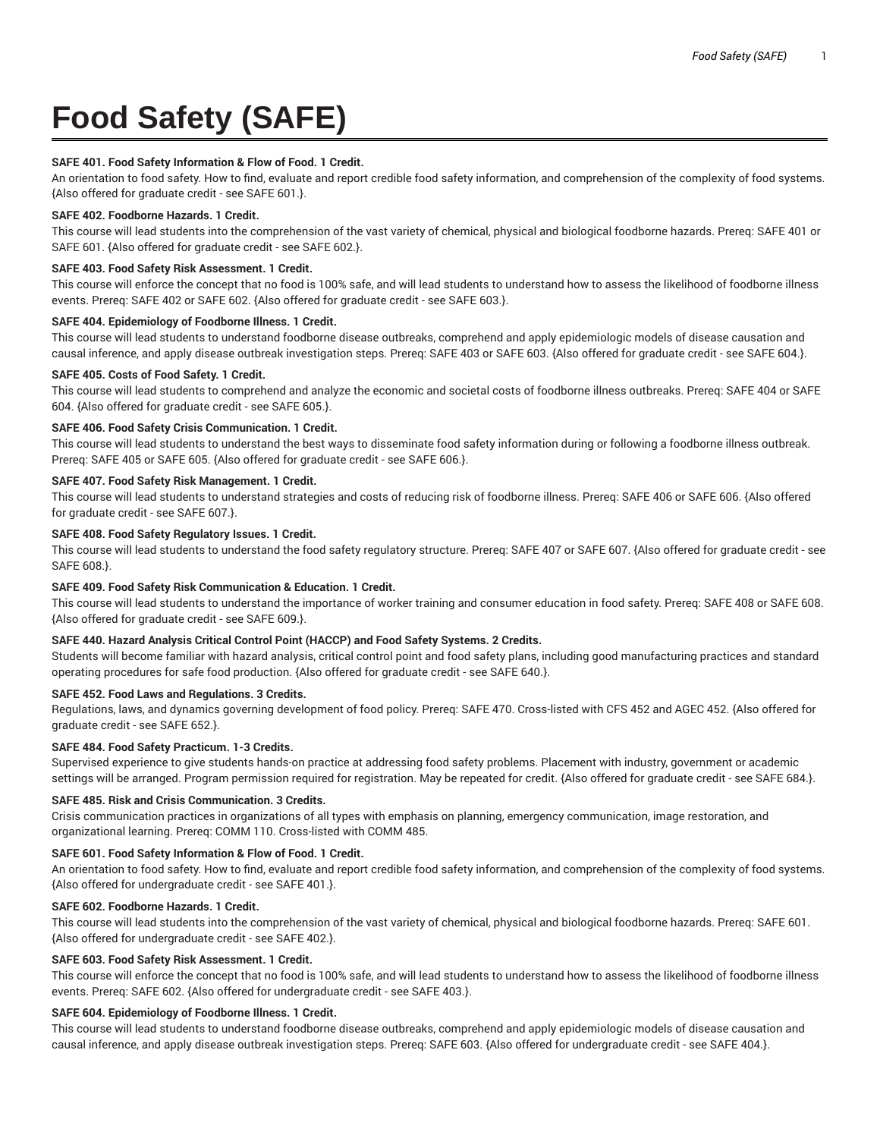# **Food Safety (SAFE)**

#### **SAFE 401. Food Safety Information & Flow of Food. 1 Credit.**

An orientation to food safety. How to find, evaluate and report credible food safety information, and comprehension of the complexity of food systems. {Also offered for graduate credit - see SAFE 601.}.

#### **SAFE 402. Foodborne Hazards. 1 Credit.**

This course will lead students into the comprehension of the vast variety of chemical, physical and biological foodborne hazards. Prereq: SAFE 401 or SAFE 601. {Also offered for graduate credit - see SAFE 602.}.

#### **SAFE 403. Food Safety Risk Assessment. 1 Credit.**

This course will enforce the concept that no food is 100% safe, and will lead students to understand how to assess the likelihood of foodborne illness events. Prereq: SAFE 402 or SAFE 602. {Also offered for graduate credit - see SAFE 603.}.

#### **SAFE 404. Epidemiology of Foodborne Illness. 1 Credit.**

This course will lead students to understand foodborne disease outbreaks, comprehend and apply epidemiologic models of disease causation and causal inference, and apply disease outbreak investigation steps. Prereq: SAFE 403 or SAFE 603. {Also offered for graduate credit - see SAFE 604.}.

#### **SAFE 405. Costs of Food Safety. 1 Credit.**

This course will lead students to comprehend and analyze the economic and societal costs of foodborne illness outbreaks. Prereq: SAFE 404 or SAFE 604. {Also offered for graduate credit - see SAFE 605.}.

#### **SAFE 406. Food Safety Crisis Communication. 1 Credit.**

This course will lead students to understand the best ways to disseminate food safety information during or following a foodborne illness outbreak. Prereq: SAFE 405 or SAFE 605. {Also offered for graduate credit - see SAFE 606.}.

#### **SAFE 407. Food Safety Risk Management. 1 Credit.**

This course will lead students to understand strategies and costs of reducing risk of foodborne illness. Prereq: SAFE 406 or SAFE 606. {Also offered for graduate credit - see SAFE 607.}.

#### **SAFE 408. Food Safety Regulatory Issues. 1 Credit.**

This course will lead students to understand the food safety regulatory structure. Prereq: SAFE 407 or SAFE 607. {Also offered for graduate credit - see SAFE 608.}.

# **SAFE 409. Food Safety Risk Communication & Education. 1 Credit.**

This course will lead students to understand the importance of worker training and consumer education in food safety. Prereq: SAFE 408 or SAFE 608. {Also offered for graduate credit - see SAFE 609.}.

# **SAFE 440. Hazard Analysis Critical Control Point (HACCP) and Food Safety Systems. 2 Credits.**

Students will become familiar with hazard analysis, critical control point and food safety plans, including good manufacturing practices and standard operating procedures for safe food production. {Also offered for graduate credit - see SAFE 640.}.

# **SAFE 452. Food Laws and Regulations. 3 Credits.**

Regulations, laws, and dynamics governing development of food policy. Prereq: SAFE 470. Cross-listed with CFS 452 and AGEC 452. {Also offered for graduate credit - see SAFE 652.}.

# **SAFE 484. Food Safety Practicum. 1-3 Credits.**

Supervised experience to give students hands-on practice at addressing food safety problems. Placement with industry, government or academic settings will be arranged. Program permission required for registration. May be repeated for credit. {Also offered for graduate credit - see SAFE 684.}.

#### **SAFE 485. Risk and Crisis Communication. 3 Credits.**

Crisis communication practices in organizations of all types with emphasis on planning, emergency communication, image restoration, and organizational learning. Prereq: COMM 110. Cross-listed with COMM 485.

# **SAFE 601. Food Safety Information & Flow of Food. 1 Credit.**

An orientation to food safety. How to find, evaluate and report credible food safety information, and comprehension of the complexity of food systems. {Also offered for undergraduate credit - see SAFE 401.}.

#### **SAFE 602. Foodborne Hazards. 1 Credit.**

This course will lead students into the comprehension of the vast variety of chemical, physical and biological foodborne hazards. Prereq: SAFE 601. {Also offered for undergraduate credit - see SAFE 402.}.

## **SAFE 603. Food Safety Risk Assessment. 1 Credit.**

This course will enforce the concept that no food is 100% safe, and will lead students to understand how to assess the likelihood of foodborne illness events. Prereq: SAFE 602. {Also offered for undergraduate credit - see SAFE 403.}.

#### **SAFE 604. Epidemiology of Foodborne Illness. 1 Credit.**

This course will lead students to understand foodborne disease outbreaks, comprehend and apply epidemiologic models of disease causation and causal inference, and apply disease outbreak investigation steps. Prereq: SAFE 603. {Also offered for undergraduate credit - see SAFE 404.}.